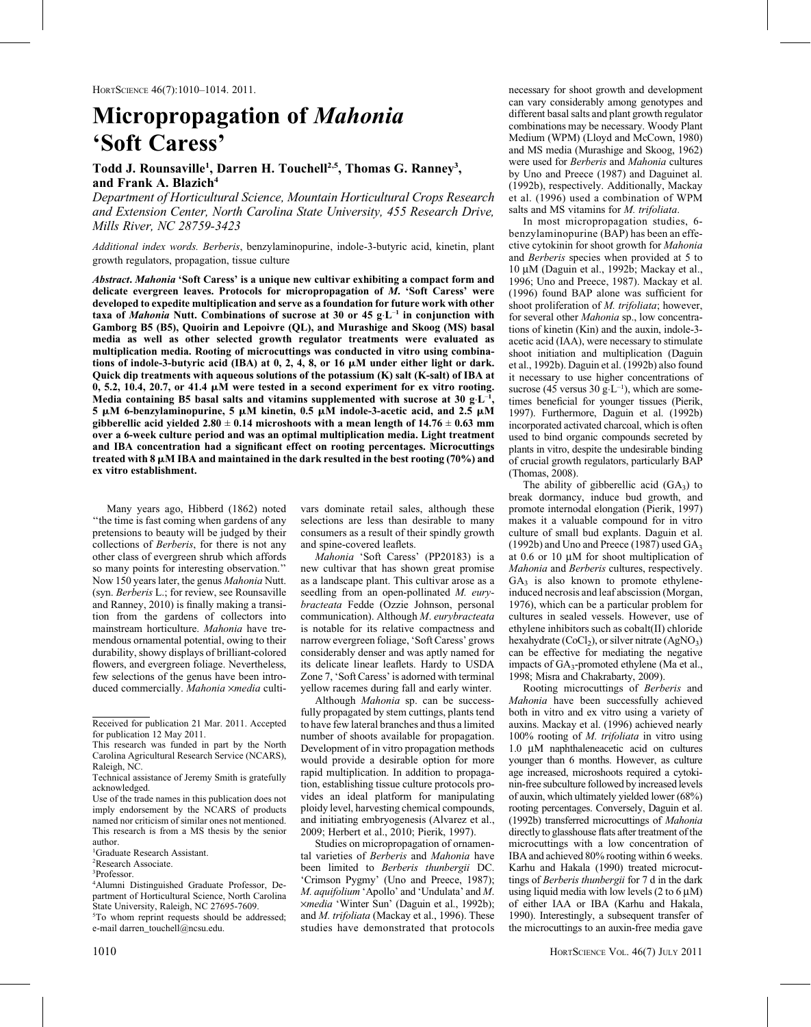# Micropropagation of Mahonia 'Soft Caress'

## Todd J. Rounsaville<sup>1</sup>, Darren H. Touchell<sup>2,5</sup>, Thomas G. Ranney<sup>3</sup>, and Frank A. Blazich<sup>4</sup>

Department of Horticultural Science, Mountain Horticultural Crops Research and Extension Center, North Carolina State University, 455 Research Drive, Mills River, NC 28759-3423

Additional index words. Berberis, benzylaminopurine, indole-3-butyric acid, kinetin, plant growth regulators, propagation, tissue culture

Abstract. Mahonia 'Soft Caress' is a unique new cultivar exhibiting a compact form and delicate evergreen leaves. Protocols for micropropagation of M. 'Soft Caress' were developed to expedite multiplication and serve as a foundation for future work with other taxa of Mahonia Nutt. Combinations of sucrose at 30 or 45 g $L^{-1}$  in conjunction with Gamborg B5 (B5), Quoirin and Lepoivre (QL), and Murashige and Skoog (MS) basal media as well as other selected growth regulator treatments were evaluated as multiplication media. Rooting of microcuttings was conducted in vitro using combinations of indole-3-butyric acid (IBA) at  $0, 2, 4, 8$ , or 16  $\mu$ M under either light or dark. Quick dip treatments with aqueous solutions of the potassium (K) salt (K-salt) of IBA at  $0, 5.2, 10.4, 20.7,$  or 41.4  $\mu$ M were tested in a second experiment for ex vitro rooting. Media containing B5 basal salts and vitamins supplemented with sucrose at 30 g $\text{L}^{-1}$ , 5  $\mu$ M 6-benzylaminopurine, 5  $\mu$ M kinetin, 0.5  $\mu$ M indole-3-acetic acid, and 2.5  $\mu$ M gibberellic acid yielded  $2.80 \pm 0.14$  microshoots with a mean length of  $14.76 \pm 0.63$  mm over a 6-week culture period and was an optimal multiplication media. Light treatment and IBA concentration had a significant effect on rooting percentages. Microcuttings treated with 8  $\mu$ M IBA and maintained in the dark resulted in the best rooting (70%) and ex vitro establishment.

Many years ago, Hibberd (1862) noted ''the time is fast coming when gardens of any pretensions to beauty will be judged by their collections of Berberis, for there is not any other class of evergreen shrub which affords so many points for interesting observation.'' Now 150 years later, the genus Mahonia Nutt. (syn. Berberis L.; for review, see Rounsaville and Ranney, 2010) is finally making a transition from the gardens of collectors into mainstream horticulture. Mahonia have tremendous ornamental potential, owing to their durability, showy displays of brilliant-colored flowers, and evergreen foliage. Nevertheless, few selections of the genus have been introduced commercially. Mahonia xmedia cultivars dominate retail sales, although these selections are less than desirable to many consumers as a result of their spindly growth and spine-covered leaflets.

Mahonia 'Soft Caress' (PP20183) is a new cultivar that has shown great promise as a landscape plant. This cultivar arose as a seedling from an open-pollinated M. eurybracteata Fedde (Ozzie Johnson, personal communication). Although M. eurybracteata is notable for its relative compactness and narrow evergreen foliage, 'Soft Caress' grows considerably denser and was aptly named for its delicate linear leaflets. Hardy to USDA Zone 7, 'Soft Caress' is adorned with terminal yellow racemes during fall and early winter.

Although Mahonia sp. can be successfully propagated by stem cuttings, plants tend to have few lateral branches and thus a limited number of shoots available for propagation. Development of in vitro propagation methods would provide a desirable option for more rapid multiplication. In addition to propagation, establishing tissue culture protocols provides an ideal platform for manipulating ploidy level, harvesting chemical compounds, and initiating embryogenesis (Alvarez et al., 2009; Herbert et al., 2010; Pierik, 1997).

Studies on micropropagation of ornamental varieties of Berberis and Mahonia have been limited to Berberis thunbergii DC. 'Crimson Pygmy' (Uno and Preece, 1987); M. aquifolium 'Apollo' and 'Undulata' and M. ·media 'Winter Sun' (Daguin et al., 1992b); and M. trifoliata (Mackay et al., 1996). These studies have demonstrated that protocols

necessary for shoot growth and development can vary considerably among genotypes and different basal salts and plant growth regulator combinations may be necessary. Woody Plant Medium (WPM) (Lloyd and McCown, 1980) and MS media (Murashige and Skoog, 1962) were used for Berberis and Mahonia cultures by Uno and Preece (1987) and Daguinet al. (1992b), respectively. Additionally, Mackay et al. (1996) used a combination of WPM salts and MS vitamins for *M. trifoliata*.

In most micropropagation studies, 6 benzylaminopurine (BAP) has been an effective cytokinin for shoot growth for Mahonia and Berberis species when provided at 5 to  $10 \mu M$  (Daguin et al., 1992b; Mackay et al., 1996; Uno and Preece, 1987). Mackay et al. (1996) found BAP alone was sufficient for shoot proliferation of *M. trifoliata*; however, for several other Mahonia sp., low concentrations of kinetin (Kin) and the auxin, indole-3 acetic acid (IAA), were necessary to stimulate shoot initiation and multiplication (Daguin et al., 1992b). Daguin et al. (1992b) also found it necessary to use higher concentrations of sucrose (45 versus 30  $g \cdot L^{-1}$ ), which are sometimes beneficial for younger tissues (Pierik, 1997). Furthermore, Daguin et al. (1992b) incorporated activated charcoal, which is often used to bind organic compounds secreted by plants in vitro, despite the undesirable binding of crucial growth regulators, particularly BAP (Thomas, 2008).

The ability of gibberellic acid  $(GA_3)$  to break dormancy, induce bud growth, and promote internodal elongation (Pierik, 1997) makes it a valuable compound for in vitro culture of small bud explants. Daguin et al. (1992b) and Uno and Preece (1987) used  $GA<sub>3</sub>$ at 0.6 or 10  $\mu$ M for shoot multiplication of Mahonia and Berberis cultures, respectively.  $GA<sub>3</sub>$  is also known to promote ethyleneinduced necrosis and leaf abscission (Morgan, 1976), which can be a particular problem for cultures in sealed vessels. However, use of ethylene inhibitors such as cobalt(II) chloride hexahydrate  $(CoCl<sub>2</sub>)$ , or silver nitrate  $(AgNO<sub>3</sub>)$ can be effective for mediating the negative impacts of GA<sub>3</sub>-promoted ethylene (Ma et al., 1998; Misra and Chakrabarty, 2009).

Rooting microcuttings of Berberis and Mahonia have been successfully achieved both in vitro and ex vitro using a variety of auxins. Mackay et al. (1996) achieved nearly 100% rooting of M. trifoliata in vitro using 1.0 μM naphthaleneacetic acid on cultures younger than 6 months. However, as culture age increased, microshoots required a cytokinin-free subculture followed by increased levels of auxin, which ultimately yielded lower (68%) rooting percentages. Conversely, Daguin et al. (1992b) transferred microcuttings of Mahonia directly to glasshouse flats after treatment of the microcuttings with a low concentration of IBA and achieved 80% rooting within 6 weeks. Karhu and Hakala (1990) treated microcuttings of Berberis thunbergii for 7 d in the dark using liquid media with low levels  $(2 \text{ to } 6 \mu M)$ of either IAA or IBA (Karhu and Hakala, 1990). Interestingly, a subsequent transfer of the microcuttings to an auxin-free media gave

Received for publication 21 Mar. 2011. Accepted for publication 12 May 2011.

This research was funded in part by the North Carolina Agricultural Research Service (NCARS), Raleigh, NC.

Technical assistance of Jeremy Smith is gratefully acknowledged.

Use of the trade names in this publication does not imply endorsement by the NCARS of products named nor criticism of similar ones not mentioned. This research is from a MS thesis by the senior author.

<sup>1</sup> Graduate Research Assistant.

<sup>2</sup> Research Associate.

<sup>3</sup> Professor.

<sup>4</sup> Alumni Distinguished Graduate Professor, Department of Horticultural Science, North Carolina State University, Raleigh, NC 27695-7609. 5 To whom reprint requests should be addressed; e-mail darren\_touchell@ncsu.edu.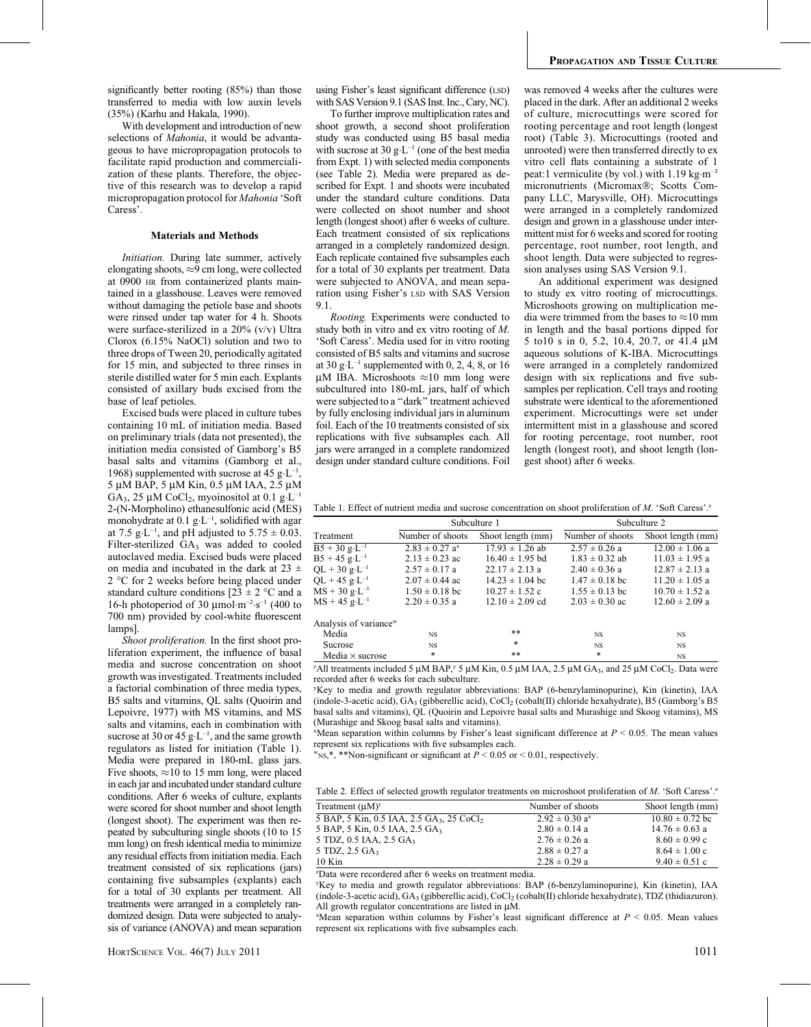significantly better rooting (85%) than those transferred to media with low auxin levels (35%) (Karhu and Hakala, 1990).

With development and introduction of new selections of Mahonia, it would be advantageous to have micropropagation protocols to facilitate rapid production and commercialization of these plants. Therefore, the objective of this research was to develop a rapid micropropagation protocol for Mahonia 'Soft Caress'.

### Materials and Methods

Initiation. During late summer, actively elongating shoots,  $\approx$ 9 cm long, were collected at 0900 HR from containerized plants maintained in a glasshouse. Leaves were removed without damaging the petiole base and shoots were rinsed under tap water for 4 h. Shoots were surface-sterilized in a 20% (v/v) Ultra Clorox (6.15% NaOCl) solution and two to three drops of Tween 20, periodically agitated for 15 min, and subjected to three rinses in sterile distilled water for 5 min each. Explants consisted of axillary buds excised from the base of leaf petioles.

Excised buds were placed in culture tubes containing 10 mL of initiation media. Based on preliminary trials (data not presented), the initiation media consisted of Gamborg's B5 basal salts and vitamins (Gamborg et al., 1968) supplemented with sucrose at 45  $g \cdot L^{-1}$ , 5 µM BAP, 5 µM Kin, 0.5 µM IAA, 2.5 µM GA<sub>3</sub>, 25 µM CoCl<sub>2</sub>, myoinositol at 0.1 g·L<sup>-1</sup> 2-(N-Morpholino) ethanesulfonic acid (MES) monohydrate at  $0.1 \text{ g} \cdot L^{-1}$ , solidified with agar at 7.5  $g \text{·L}^{-1}$ , and pH adjusted to 5.75  $\pm$  0.03. Filter-sterilized  $GA_3$  was added to cooled autoclaved media. Excised buds were placed on media and incubated in the dark at  $23 \pm$ 2 °C for 2 weeks before being placed under standard culture conditions  $[23 \pm 2$  °C and a 16-h photoperiod of 30  $\mu$ mol·m<sup>-2</sup>·s<sup>-1</sup> (400 to 700 nm) provided by cool-white fluorescent lamps].

Shoot proliferation. In the first shoot proliferation experiment, the influence of basal media and sucrose concentration on shoot growth was investigated. Treatments included a factorial combination of three media types, B5 salts and vitamins, QL salts (Quoirin and Lepoivre, 1977) with MS vitamins, and MS salts and vitamins, each in combination with sucrose at 30 or 45  $g \cdot L^{-1}$ , and the same growth regulators as listed for initiation (Table 1). Media were prepared in 180-mL glass jars. Five shoots,  $\approx$  10 to 15 mm long, were placed in each jar and incubated under standard culture conditions. After 6 weeks of culture, explants were scored for shoot number and shoot length (longest shoot). The experiment was then repeated by subculturing single shoots (10 to 15 mm long) on fresh identical media to minimize any residual effects from initiation media. Each treatment consisted of six replications (jars) containing five subsamples (explants) each for a total of 30 explants per treatment. All treatments were arranged in a completely randomized design. Data were subjected to analysis of variance (ANOVA) and mean separation using Fisher's least significant difference (LSD) with SAS Version 9.1 (SAS Inst. Inc., Cary, NC).

To further improve multiplication rates and shoot growth, a second shoot proliferation study was conducted using B5 basal media with sucrose at 30  $g \cdot L^{-1}$  (one of the best media from Expt. 1) with selected media components (see Table 2). Media were prepared as described for Expt. 1 and shoots were incubated under the standard culture conditions. Data were collected on shoot number and shoot length (longest shoot) after 6 weeks of culture. Each treatment consisted of six replications arranged in a completely randomized design. Each replicate contained five subsamples each for a total of 30 explants per treatment. Data were subjected to ANOVA, and mean separation using Fisher's LSD with SAS Version 9.1.

Rooting. Experiments were conducted to study both in vitro and ex vitro rooting of M. 'Soft Caress'. Media used for in vitro rooting consisted of B5 salts and vitamins and sucrose at 30  $g \cdot L^{-1}$  supplemented with 0, 2, 4, 8, or 16  $\mu$ M IBA. Microshoots  $\approx$ 10 mm long were subcultured into 180-mL jars, half of which were subjected to a ''dark'' treatment achieved by fully enclosing individual jars in aluminum foil. Each of the 10 treatments consisted of six replications with five subsamples each. All jars were arranged in a complete randomized design under standard culture conditions. Foil

was removed 4 weeks after the cultures were placed in the dark. After an additional 2 weeks of culture, microcuttings were scored for rooting percentage and root length (longest root) (Table 3). Microcuttings (rooted and unrooted) were then transferred directly to ex vitro cell flats containing a substrate of 1 peat:1 vermiculite (by vol.) with 1.19 kg·m<sup>-3</sup> micronutrients (Micromax®; Scotts Company LLC, Marysville, OH). Microcuttings were arranged in a completely randomized design and grown in a glasshouse under intermittent mist for 6 weeks and scored for rooting percentage, root number, root length, and shoot length. Data were subjected to regression analyses using SAS Version 9.1.

An additional experiment was designed to study ex vitro rooting of microcuttings. Microshoots growing on multiplication media were trimmed from the bases to  $\approx$ 10 mm in length and the basal portions dipped for 5 to10 s in 0, 5.2, 10.4, 20.7, or 41.4  $\mu$ M aqueous solutions of K-IBA. Microcuttings were arranged in a completely randomized design with six replications and five subsamples per replication. Cell trays and rooting substrate were identical to the aforementioned experiment. Microcuttings were set under intermittent mist in a glasshouse and scored for rooting percentage, root number, root length (longest root), and shoot length (longest shoot) after 6 weeks.

Table 1. Effect of nutrient media and sucrose concentration on shoot proliferation of M. 'Soft Caress'.<sup>z</sup>

|                                   | Subculture 1                   |                     | Subculture 2       |                    |
|-----------------------------------|--------------------------------|---------------------|--------------------|--------------------|
| Treatment                         | Number of shoots               | Shoot length (mm)   | Number of shoots   | Shoot length (mm)  |
| $B5 + 30 g \cdot L^{-1}$          | $2.83 \pm 0.27$ a <sup>x</sup> | $17.93 \pm 1.26$ ab | $2.57 \pm 0.26$ a  | $12.00 \pm 1.06$ a |
| $B5 + 45$ g·L <sup>-1</sup>       | $2.13 \pm 0.23$ ac             | $16.40 \pm 1.95$ bd | $1.83 \pm 0.32$ ab | $11.03 \pm 1.95$ a |
| $QL + 30 g \cdot L^{-1}$          | $2.57 \pm 0.17$ a              | $22.17 \pm 2.13$ a  | $2.40 \pm 0.36$ a  | $12.87 \pm 2.13$ a |
| $QL + 45 g \cdot L^{-1}$          | $2.07 \pm 0.44$ ac             | $14.23 \pm 1.04$ bc | $1.47 \pm 0.18$ bc | $11.20 \pm 1.05$ a |
| $MS + 30 g \cdot L^{-1}$          | $1.50 \pm 0.18$ bc             | $10.27 \pm 1.52$ c  | $1.55 \pm 0.13$ bc | $10.70 \pm 1.52$ a |
| $MS + 45$ g·L <sup>-1</sup>       | $2.20 \pm 0.35$ a              | $12.10 \pm 2.09$ cd | $2.03 \pm 0.30$ ac | $12.60 \pm 2.09$ a |
| Analysis of variance <sup>w</sup> |                                |                     |                    |                    |
| Media                             | <b>NS</b>                      | **                  | <b>NS</b>          | <b>NS</b>          |
| Sucrose                           | <b>NS</b>                      | *                   | <b>NS</b>          | <b>NS</b>          |
| Media $\times$ sucrose            | *                              | **                  | *                  | <b>NS</b>          |

<sup>2</sup>All treatments included 5  $\mu$ M BAP,<sup>y</sup> 5  $\mu$ M Kin, 0.5  $\mu$ M IAA, 2.5  $\mu$ M GA<sub>3</sub>, and 25  $\mu$ M CoCl<sub>2</sub>. Data were recorded after 6 weeks for each subculture.

y Key to media and growth regulator abbreviations: BAP (6-benzylaminopurine), Kin (kinetin), IAA (indole-3-acetic acid),  $GA_3$  (gibberellic acid),  $CoCl_2$  (cobalt(II) chloride hexahydrate), B5 (Gamborg's B5 basal salts and vitamins), QL (Quoirin and Lepoivre basal salts and Murashige and Skoog vitamins), MS (Murashige and Skoog basal salts and vitamins).

 $x<sup>x</sup>$ Mean separation within columns by Fisher's least significant difference at  $P < 0.05$ . The mean values represent six replications with five subsamples each.

 $w_{NS,*, *}$  \*\*Non-significant or significant at  $P < 0.05$  or  $< 0.01$ , respectively.

Table 2. Effect of selected growth regulator treatments on microshoot proliferation of M. 'Soft Caress'.<sup>z</sup>

| Treatment $(\mu M)^y$                      | Number of shoots               | Shoot length (mm)   |
|--------------------------------------------|--------------------------------|---------------------|
| 5 BAP, 5 Kin, 0.5 IAA, 2.5 GA, 25 CoCl     | $2.92 \pm 0.30$ a <sup>x</sup> | $10.80 \pm 0.72$ bc |
| 5 BAP, 5 Kin, 0.5 IAA, 2.5 GA <sub>3</sub> | $2.80 \pm 0.14$ a              | $14.76 \pm 0.63$ a  |
| 5 TDZ, 0.5 IAA, 2.5 GA <sub>3</sub>        | $2.76 \pm 0.26$ a              | $8.60 \pm 0.99$ c   |
| 5 TDZ, 2.5 GA <sub>3</sub>                 | $2.88 \pm 0.27$ a              | $8.64 \pm 1.00$ c   |
| $10$ Kin                                   | $2.28 \pm 0.29$ a              | $9.40 \pm 0.51$ c   |

z Data were recordered after 6 weeks on treatment media.

y Key to media and growth regulator abbreviations: BAP (6-benzylaminopurine), Kin (kinetin), IAA (indole-3-acetic acid),  $GA_3$  (gibberellic acid), CoCl<sub>2</sub> (cobalt(II) chloride hexahydrate), TDZ (thidiazuron). All growth regulator concentrations are listed in  $\mu$ M.

 $^{\text{X}}$ Mean separation within columns by Fisher's least significant difference at  $P < 0.05$ . Mean values represent six replications with five subsamples each.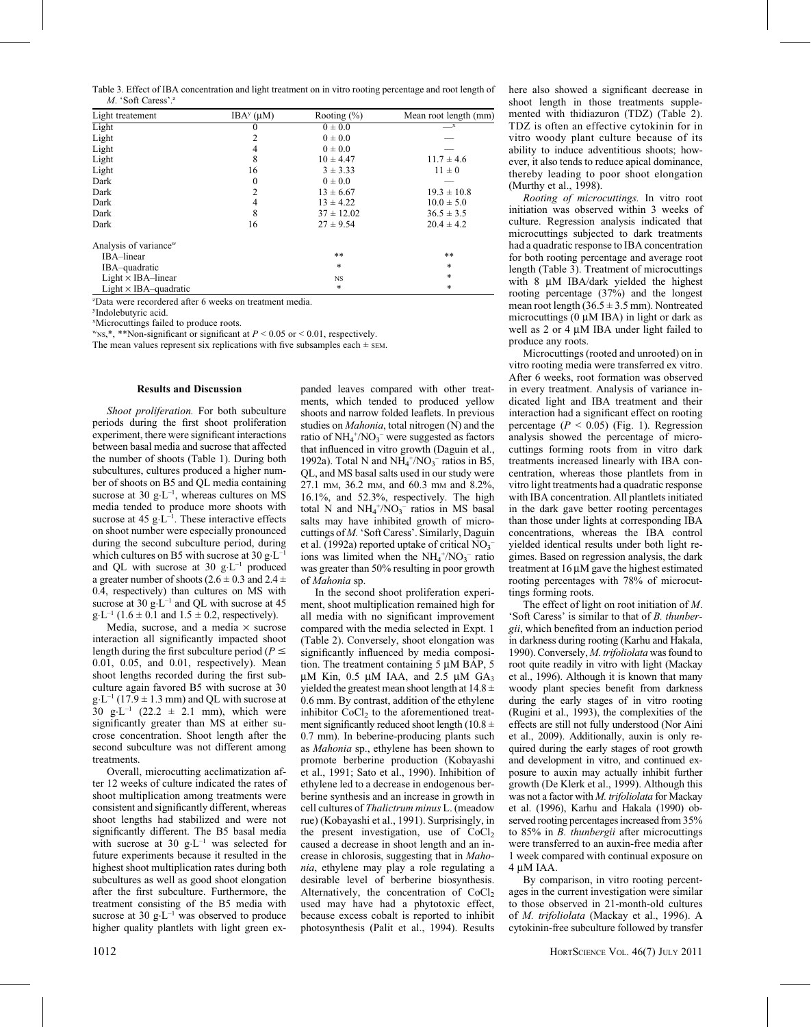Table 3. Effect of IBA concentration and light treatment on in vitro rooting percentage and root length of  $M$  'Soft Caress'<sup>2</sup>

| Light treatement                  | $IBAy$ ( $\mu$ M) | Rooting $(\% )$ | Mean root length (mm) |
|-----------------------------------|-------------------|-----------------|-----------------------|
| Light                             | 0                 | $0 \pm 0.0$     | $\mathbf{r}$          |
| Light                             | 2                 | $0 \pm 0.0$     |                       |
| Light                             | 4                 | $0 \pm 0.0$     |                       |
| Light                             | 8                 | $10 \pm 4.47$   | $11.7 \pm 4.6$        |
| Light                             | 16                | $3 \pm 3.33$    | $11 \pm 0$            |
| Dark                              | $\theta$          | $0 \pm 0.0$     |                       |
| Dark                              | 2                 | $13 \pm 6.67$   | $19.3 \pm 10.8$       |
| Dark                              | 4                 | $13 \pm 4.22$   | $10.0 \pm 5.0$        |
| Dark                              | 8                 | $37 \pm 12.02$  | $36.5 \pm 3.5$        |
| Dark                              | 16                | $27 \pm 9.54$   | $20.4 \pm 4.2$        |
| Analysis of variance <sup>w</sup> |                   |                 |                       |
| IBA-linear                        |                   | **              | **                    |
| IBA-quadratic                     |                   | *               | *                     |
| $Light \times IBA$ -linear        |                   | NS              | *                     |
| Light $\times$ IBA-quadratic      |                   | *               | $\ast$                |

z Data were recordered after 6 weeks on treatment media.

y Indolebutyric acid.

x Microcuttings failed to produce roots.

 $w_{NS,*,}$  \*\*Non-significant or significant at  $P \le 0.05$  or  $\le 0.01$ , respectively. The mean values represent six replications with five subsamples each  $\pm$  sEM.

#### Results and Discussion

Shoot proliferation. For both subculture periods during the first shoot proliferation experiment, there were significant interactions between basal media and sucrose that affected the number of shoots (Table 1). During both subcultures, cultures produced a higher number of shoots on B5 and QL media containing sucrose at 30  $g \cdot L^{-1}$ , whereas cultures on MS media tended to produce more shoots with sucrose at 45  $g \cdot L^{-1}$ . These interactive effects on shoot number were especially pronounced during the second subculture period, during which cultures on B5 with sucrose at 30  $g \cdot L^{-1}$ and QL with sucrose at 30  $g \cdot L^{-1}$  produced a greater number of shoots ( $2.6 \pm 0.3$  and  $2.4 \pm 1.5$ ) 0.4, respectively) than cultures on MS with sucrose at 30  $g \cdot L^{-1}$  and QL with sucrose at 45  $g \cdot L^{-1}$  (1.6  $\pm$  0.1 and 1.5  $\pm$  0.2, respectively).

Media, sucrose, and a media  $\times$  sucrose interaction all significantly impacted shoot length during the first subculture period ( $P \le$ 0.01, 0.05, and 0.01, respectively). Mean shoot lengths recorded during the first subculture again favored B5 with sucrose at 30  $g \cdot L^{-1}$  (17.9  $\pm$  1.3 mm) and QL with sucrose at 30 g·L<sup>-1</sup> (22.2  $\pm$  2.1 mm), which were significantly greater than MS at either sucrose concentration. Shoot length after the second subculture was not different among treatments.

Overall, microcutting acclimatization after 12 weeks of culture indicated the rates of shoot multiplication among treatments were consistent and significantly different, whereas shoot lengths had stabilized and were not significantly different. The B5 basal media with sucrose at 30  $g \cdot L^{-1}$  was selected for future experiments because it resulted in the highest shoot multiplication rates during both subcultures as well as good shoot elongation after the first subculture. Furthermore, the treatment consisting of the B5 media with sucrose at 30  $g \cdot L^{-1}$  was observed to produce higher quality plantlets with light green expanded leaves compared with other treatments, which tended to produced yellow shoots and narrow folded leaflets. In previous studies on Mahonia, total nitrogen (N) and the ratio of  $NH_4^+/NO_3^-$  were suggested as factors that influenced in vitro growth (Daguin et al., 1992a). Total N and  $NH_4^+/NO_3^-$  ratios in B5, QL, and MS basal salts used in our study were 27.1 mM, 36.2 mM, and 60.3 mM and 8.2%, 16.1%, and 52.3%, respectively. The high total N and  $NH_4^+/NO_3^-$  ratios in MS basal salts may have inhibited growth of microcuttings of M.'Soft Caress'. Similarly, Daguin et al. (1992a) reported uptake of critical  $NO_3^$ ions was limited when the  $NH_4^+/NO_3^-$  ratio was greater than 50% resulting in poor growth of Mahonia sp.

In the second shoot proliferation experiment, shoot multiplication remained high for all media with no significant improvement compared with the media selected in Expt. 1 (Table 2). Conversely, shoot elongation was significantly influenced by media composition. The treatment containing  $5 \mu M$  BAP,  $5 \mu M$  $\mu$ M Kin, 0.5  $\mu$ M IAA, and 2.5  $\mu$ M GA<sub>3</sub> yielded the greatest mean shoot length at  $14.8 \pm$ 0.6 mm. By contrast, addition of the ethylene inhibitor  $CoCl<sub>2</sub>$  to the aforementioned treatment significantly reduced shoot length (10.8  $\pm$ 0.7 mm). In beberine-producing plants such as Mahonia sp., ethylene has been shown to promote berberine production (Kobayashi et al., 1991; Sato et al., 1990). Inhibition of ethylene led to a decrease in endogenous berberine synthesis and an increase in growth in cell cultures of Thalictrum minus L. (meadow rue) (Kobayashi et al., 1991). Surprisingly, in the present investigation, use of  $CoCl<sub>2</sub>$ caused a decrease in shoot length and an increase in chlorosis, suggesting that in Mahonia, ethylene may play a role regulating a desirable level of berberine biosynthesis. Alternatively, the concentration of  $CoCl<sub>2</sub>$ used may have had a phytotoxic effect, because excess cobalt is reported to inhibit photosynthesis (Palit et al., 1994). Results

here also showed a significant decrease in shoot length in those treatments supplemented with thidiazuron (TDZ) (Table 2). TDZ is often an effective cytokinin for in vitro woody plant culture because of its ability to induce adventitious shoots; however, it also tends to reduce apical dominance, thereby leading to poor shoot elongation (Murthy et al., 1998).

Rooting of microcuttings. In vitro root initiation was observed within 3 weeks of culture. Regression analysis indicated that microcuttings subjected to dark treatments had a quadratic response to IBA concentration for both rooting percentage and average root length (Table 3). Treatment of microcuttings with  $8 \mu M$  IBA/dark yielded the highest rooting percentage (37%) and the longest mean root length  $(36.5 \pm 3.5 \text{ mm})$ . Nontreated microcuttings  $(0 \mu M IBA)$  in light or dark as well as 2 or 4  $\mu$ M IBA under light failed to produce any roots.

Microcuttings (rooted and unrooted) on in vitro rooting media were transferred ex vitro. After 6 weeks, root formation was observed in every treatment. Analysis of variance indicated light and IBA treatment and their interaction had a significant effect on rooting percentage ( $P < 0.05$ ) (Fig. 1). Regression analysis showed the percentage of microcuttings forming roots from in vitro dark treatments increased linearly with IBA concentration, whereas those plantlets from in vitro light treatments had a quadratic response with IBA concentration. All plantlets initiated in the dark gave better rooting percentages than those under lights at corresponding IBA concentrations, whereas the IBA control yielded identical results under both light regimes. Based on regression analysis, the dark treatment at  $16 \mu M$  gave the highest estimated rooting percentages with 78% of microcuttings forming roots.

The effect of light on root initiation of M. 'Soft Caress' is similar to that of B. thunbergii, which benefited from an induction period in darkness during rooting (Karhu and Hakala, 1990). Conversely, M. trifoliolata was found to root quite readily in vitro with light (Mackay et al., 1996). Although it is known that many woody plant species benefit from darkness during the early stages of in vitro rooting (Rugini et al., 1993), the complexities of the effects are still not fully understood (Nor Aini et al., 2009). Additionally, auxin is only required during the early stages of root growth and development in vitro, and continued exposure to auxin may actually inhibit further growth (De Klerk et al., 1999). Although this was not a factor with M. trifoliolata for Mackay et al. (1996), Karhu and Hakala (1990) observed rooting percentages increased from 35% to 85% in *B. thunbergii* after microcuttings were transferred to an auxin-free media after 1 week compared with continual exposure on 4 µM IAA.

By comparison, in vitro rooting percentages in the current investigation were similar to those observed in 21-month-old cultures of M. trifoliolata (Mackay et al., 1996). A cytokinin-free subculture followed by transfer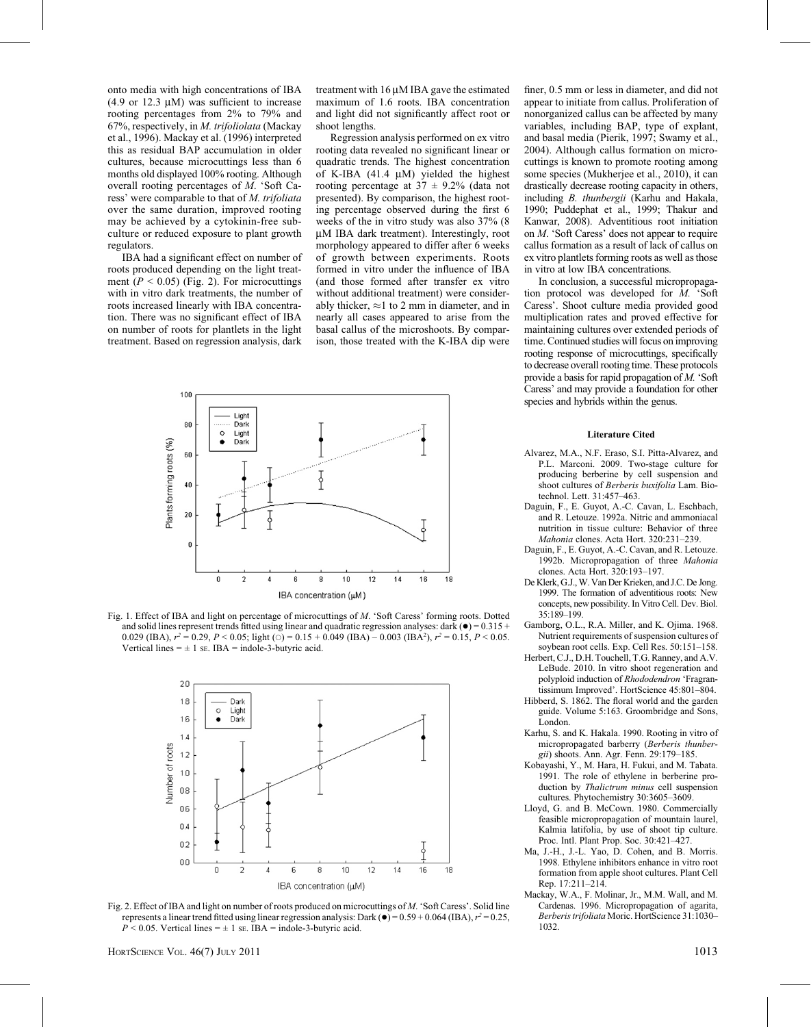onto media with high concentrations of IBA (4.9 or 12.3  $\mu$ M) was sufficient to increase rooting percentages from 2% to 79% and 67%, respectively, in M. trifoliolata (Mackay et al., 1996). Mackay et al. (1996) interpreted this as residual BAP accumulation in older cultures, because microcuttings less than 6 months old displayed 100% rooting. Although overall rooting percentages of M. 'Soft Caress' were comparable to that of M. trifoliata over the same duration, improved rooting may be achieved by a cytokinin-free subculture or reduced exposure to plant growth regulators.

IBA had a significant effect on number of roots produced depending on the light treatment ( $P < 0.05$ ) (Fig. 2). For microcuttings with in vitro dark treatments, the number of roots increased linearly with IBA concentration. There was no significant effect of IBA on number of roots for plantlets in the light treatment. Based on regression analysis, dark treatment with  $16 \mu M$  IBA gave the estimated maximum of 1.6 roots. IBA concentration and light did not significantly affect root or shoot lengths.

Regression analysis performed on ex vitro rooting data revealed no significant linear or quadratic trends. The highest concentration of K-IBA  $(41.4 \mu M)$  yielded the highest rooting percentage at  $37 \pm 9.2\%$  (data not presented). By comparison, the highest rooting percentage observed during the first 6 weeks of the in vitro study was also 37% (8 µM IBA dark treatment). Interestingly, root morphology appeared to differ after 6 weeks of growth between experiments. Roots formed in vitro under the influence of IBA (and those formed after transfer ex vitro without additional treatment) were considerably thicker,  $\approx$ 1 to 2 mm in diameter, and in nearly all cases appeared to arise from the basal callus of the microshoots. By comparison, those treated with the K-IBA dip were



Fig. 1. Effect of IBA and light on percentage of microcuttings of M. 'Soft Caress' forming roots. Dotted and solid lines represent trends fitted using linear and quadratic regression analyses: dark  $\left(\bullet\right) = 0.315 +$ 0.029 (IBA),  $r^2 = 0.29$ ,  $P < 0.05$ ; light ( $\odot$ ) = 0.15 + 0.049 (IBA) – 0.003 (IBA<sup>2</sup>),  $r^2 = 0.15$ ,  $P < 0.05$ . Vertical lines  $= \pm 1$  se. IBA = indole-3-butyric acid.



Fig. 2. Effect of IBA and light on number of roots produced on microcuttings of M. 'Soft Caress'. Solid line represents a linear trend fitted using linear regression analysis: Dark ( $\bullet$ ) = 0.59 + 0.064 (IBA),  $r^2$  = 0.25,  $P < 0.05$ . Vertical lines =  $\pm$  1 se. IBA = indole-3-butyric acid.

finer, 0.5 mm or less in diameter, and did not appear to initiate from callus. Proliferation of nonorganized callus can be affected by many variables, including BAP, type of explant, and basal media (Pierik, 1997; Swamy et al., 2004). Although callus formation on microcuttings is known to promote rooting among some species (Mukherjee et al., 2010), it can drastically decrease rooting capacity in others, including B. thunbergii (Karhu and Hakala, 1990; Puddephat et al., 1999; Thakur and Kanwar, 2008). Adventitious root initiation on M. 'Soft Caress' does not appear to require callus formation as a result of lack of callus on ex vitro plantlets forming roots as well as those in vitro at low IBA concentrations.

In conclusion, a successful micropropagation protocol was developed for M. 'Soft Caress'. Shoot culture media provided good multiplication rates and proved effective for maintaining cultures over extended periods of time. Continued studies will focus on improving rooting response of microcuttings, specifically to decrease overall rooting time. These protocols provide a basis for rapid propagation of M. 'Soft Caress' and may provide a foundation for other species and hybrids within the genus.

### Literature Cited

- Alvarez, M.A., N.F. Eraso, S.I. Pitta-Alvarez, and P.L. Marconi. 2009. Two-stage culture for producing berberine by cell suspension and shoot cultures of Berberis buxifolia Lam. Biotechnol. Lett. 31:457–463.
- Daguin, F., E. Guyot, A.-C. Cavan, L. Eschbach, and R. Letouze. 1992a. Nitric and ammoniacal nutrition in tissue culture: Behavior of three Mahonia clones. Acta Hort. 320:231–239.
- Daguin, F., E. Guyot, A.-C. Cavan, and R. Letouze. 1992b. Micropropagation of three Mahonia clones. Acta Hort. 320:193–197.
- De Klerk, G.J., W. Van Der Krieken, and J.C. De Jong. 1999. The formation of adventitious roots: New concepts, new possibility. In Vitro Cell. Dev. Biol. 35:189–199.
- Gamborg, O.L., R.A. Miller, and K. Ojima. 1968. Nutrient requirements of suspension cultures of soybean root cells. Exp. Cell Res. 50:151–158.
- Herbert, C.J., D.H. Touchell, T.G. Ranney, and A.V. LeBude. 2010. In vitro shoot regeneration and polyploid induction of Rhododendron 'Fragrantissimum Improved'. HortScience 45:801–804.
- Hibberd, S. 1862. The floral world and the garden guide. Volume 5:163. Groombridge and Sons, London.
- Karhu, S. and K. Hakala. 1990. Rooting in vitro of micropropagated barberry (Berberis thunbergii) shoots. Ann. Agr. Fenn. 29:179–185.
- Kobayashi, Y., M. Hara, H. Fukui, and M. Tabata. 1991. The role of ethylene in berberine production by *Thalictrum minus* cell suspension cultures. Phytochemistry 30:3605–3609.
- Lloyd, G. and B. McCown. 1980. Commercially feasible micropropagation of mountain laurel, Kalmia latifolia, by use of shoot tip culture. Proc. Intl. Plant Prop. Soc. 30:421–427.
- Ma, J.-H., J.-L. Yao, D. Cohen, and B. Morris. 1998. Ethylene inhibitors enhance in vitro root formation from apple shoot cultures. Plant Cell Rep. 17:211–214.
- Mackay, W.A., F. Molinar, Jr., M.M. Wall, and M. Cardenas. 1996. Micropropagation of agarita, Berberis trifoliata Moric. HortScience 31:1030– 1032.